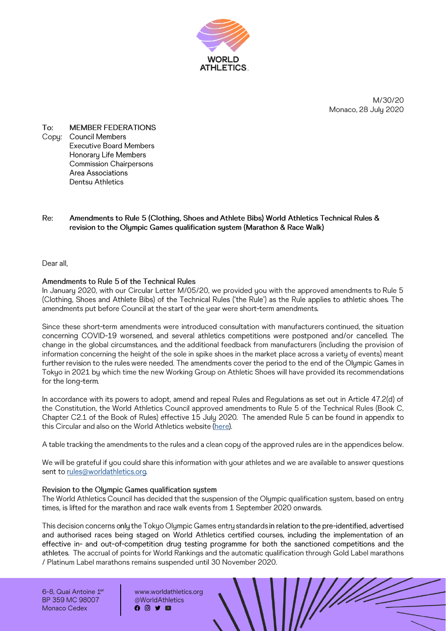

M/30/20 Monaco, 28 July 2020

To: **MEMBER FEDERATIONS** Copu: **Council Members Executive Board Members** Honorary Life Members **Commission Chairpersons** Area Associations Dentsu Athletics

#### Re: Amendments to Rule 5 (Clothing, Shoes and Athlete Bibs) World Athletics Technical Rules & revision to the Olympic Games qualification system (Marathon & Race Walk)

Dear all.

#### Amendments to Rule 5 of the Technical Rules

In January 2020, with our Circular Letter M/05/20, we provided you with the approved amendments to Rule 5 (Clothing, Shoes and Athlete Bibs) of the Technical Rules ('the Rule') as the Rule applies to athletic shoes. The amendments put before Council at the start of the year were short-term amendments.

Since these short-term amendments were introduced consultation with manufacturers continued. the situation concerning COVID-19 worsened, and several athletics competitions were postponed and/or cancelled. The change in the global circumstances, and the additional feedback from manufacturers (including the provision of information concerning the height of the sole in spike shoes in the market place across a variety of events) meant further revision to the rules were needed. The amendments cover the period to the end of the Olympic Games in Tokyo in 2021 by which time the new Working Group on Athletic Shoes will have provided its recommendations for the long-term.

In accordance with its powers to adopt, amend and repeal Rules and Requlations as set out in Article 47.2(d) of the Constitution, the World Athletics Council approved amendments to Rule 5 of the Technical Rules (Book C, Chapter C2.1 of the Book of Rules) effective 15 July 2020. The amended Rule 5 can be found in appendix to this Circular and also on the World Athletics website (here).

A table tracking the amendments to the rules and a clean copy of the approved rules are in the appendices below.

We will be grateful if you could share this information with your athletes and we are available to answer questions sent to rules@worldathletics.org.

#### Revision to the Olympic Games qualification system

The World Athletics Council has decided that the suspension of the Olympic qualification system, based on entry times, is lifted for the marathon and race walk events from 1 September 2020 onwards.

This decision concerns only the Tokyo Olympic Games entry standards in relation to the pre-identified, advertised and authorised races being staged on World Athletics certified courses, including the implementation of an effective in- and out-of-competition drug testing programme for both the sanctioned competitions and the athletes. The accrual of points for World Rankings and the automatic qualification through Gold Label marathons / Platinum Label marathons remains suspended until 30 November 2020.

6-8. Quai Antoine 1er BP 359 MC 98007 Monaco Cedex

www.worldathletics.org @WorldAthletics  $0010$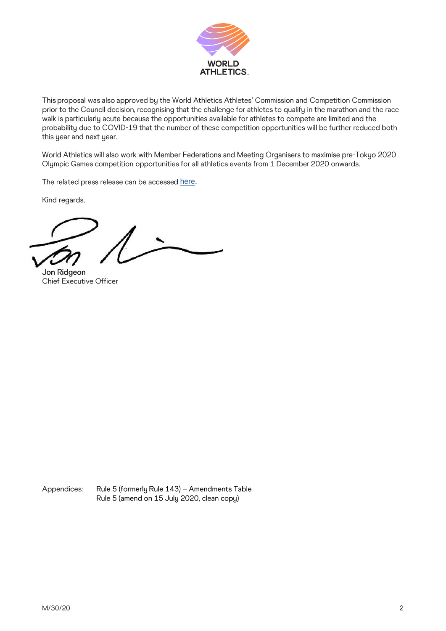

This proposal was also approved by the World Athletics Athletes' Commission and Competition Commission prior to the Council decision, recognising that the challenge for athletes to qualify in the marathon and the race walk is particularly acute because the opportunities available for athletes to compete are limited and the probability due to COVID-19 that the number of these competition opportunities will be further reduced both this year and next year.

World Athletics will also work with Member Federations and Meeting Organisers to maximise pre-Tokyo 2020 Olympic Games competition opportunities for all athletics events from 1 December 2020 onwards.

The related press release can be accessed [here.](https://eur01.safelinks.protection.outlook.com/?url=https%3A%2F%2Fwww.worldathletics.org%2Fpreview%2Fnews%2Fpress-release%2F5f1fe6bf6075f913c40a19f2&data=02%7C01%7Canne-marie.garrigan%40worldathletics.org%7C7a3000ca4c2d487ac3ba08d832db36fb%7C5066740a75944ab2a2105c9a8002fcf4%7C0%7C0%7C637315264381687402&sdata=pxDuT7Km45bh9vBru7Hdl%2Bdprej9SdDlfl3gy7qd3tg%3D&reserved=0)

Kind regards,

Jon Ridgeon Chief Executive Officer

Appendices: Rule 5 (formerly Rule 143) - Amendments Table Rule 5 (amend on 15 July 2020, clean copy)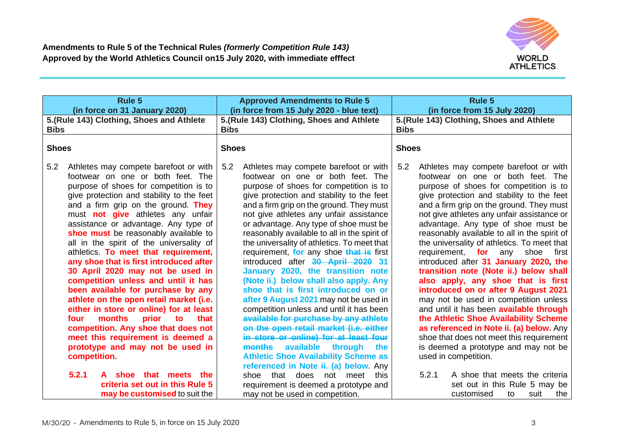

| <b>Rule 5</b><br>(in force on 31 January 2020)                                                                                                                                                                                                                                                                                                                                                                                                                                                                                                                                                                                                                                                                                                                                                                                                                      | <b>Approved Amendments to Rule 5</b><br>(in force from 15 July 2020 - blue text)                                                                                                                                                                                                                                                                                                                                                                                                                                                                                                                                                                                                                                                                                                                                                                                                                                                                                      | Rule 5<br>(in force from 15 July 2020)                                                                                                                                                                                                                                                                                                                                                                                                                                                                                                                                                                                                                                                                                                                                                                                                                                                                      |  |
|---------------------------------------------------------------------------------------------------------------------------------------------------------------------------------------------------------------------------------------------------------------------------------------------------------------------------------------------------------------------------------------------------------------------------------------------------------------------------------------------------------------------------------------------------------------------------------------------------------------------------------------------------------------------------------------------------------------------------------------------------------------------------------------------------------------------------------------------------------------------|-----------------------------------------------------------------------------------------------------------------------------------------------------------------------------------------------------------------------------------------------------------------------------------------------------------------------------------------------------------------------------------------------------------------------------------------------------------------------------------------------------------------------------------------------------------------------------------------------------------------------------------------------------------------------------------------------------------------------------------------------------------------------------------------------------------------------------------------------------------------------------------------------------------------------------------------------------------------------|-------------------------------------------------------------------------------------------------------------------------------------------------------------------------------------------------------------------------------------------------------------------------------------------------------------------------------------------------------------------------------------------------------------------------------------------------------------------------------------------------------------------------------------------------------------------------------------------------------------------------------------------------------------------------------------------------------------------------------------------------------------------------------------------------------------------------------------------------------------------------------------------------------------|--|
| 5.(Rule 143) Clothing, Shoes and Athlete<br><b>Bibs</b>                                                                                                                                                                                                                                                                                                                                                                                                                                                                                                                                                                                                                                                                                                                                                                                                             | 5.(Rule 143) Clothing, Shoes and Athlete<br><b>Bibs</b>                                                                                                                                                                                                                                                                                                                                                                                                                                                                                                                                                                                                                                                                                                                                                                                                                                                                                                               | 5.(Rule 143) Clothing, Shoes and Athlete<br><b>Bibs</b>                                                                                                                                                                                                                                                                                                                                                                                                                                                                                                                                                                                                                                                                                                                                                                                                                                                     |  |
| <b>Shoes</b>                                                                                                                                                                                                                                                                                                                                                                                                                                                                                                                                                                                                                                                                                                                                                                                                                                                        | <b>Shoes</b>                                                                                                                                                                                                                                                                                                                                                                                                                                                                                                                                                                                                                                                                                                                                                                                                                                                                                                                                                          | <b>Shoes</b>                                                                                                                                                                                                                                                                                                                                                                                                                                                                                                                                                                                                                                                                                                                                                                                                                                                                                                |  |
| 5.2<br>Athletes may compete barefoot or with<br>footwear on one or both feet. The<br>purpose of shoes for competition is to<br>give protection and stability to the feet<br>and a firm grip on the ground. They<br>must <b>not give</b> athletes any unfair<br>assistance or advantage. Any type of<br>shoe must be reasonably available to<br>all in the spirit of the universality of<br>athletics. To meet that requirement,<br>any shoe that is first introduced after<br>30 April 2020 may not be used in<br>competition unless and until it has<br>been available for purchase by any<br>athlete on the open retail market (i.e.<br>either in store or online) for at least<br>months<br>prior<br>that<br>four<br>to<br>competition. Any shoe that does not<br>meet this requirement is deemed a<br>prototype and may not be used in<br>competition.<br>5.2.1 | 5.2<br>Athletes may compete barefoot or with<br>footwear on one or both feet. The<br>purpose of shoes for competition is to<br>give protection and stability to the feet<br>and a firm grip on the ground. They must<br>not give athletes any unfair assistance<br>or advantage. Any type of shoe must be<br>reasonably available to all in the spirit of<br>the universality of athletics. To meet that<br>requirement, for any shoe that is first<br>introduced after 30 April 2020 31<br>January 2020, the transition note<br>(Note ii.) below shall also apply. Any<br>shoe that is first introduced on or<br>after 9 August 2021 may not be used in<br>competition unless and until it has been<br>available for purchase by any athlete<br>on the open retail market (i.e. either<br>in store or online) for at least four<br>available through<br><b>months</b><br>the<br><b>Athletic Shoe Availability Scheme as</b><br>referenced in Note ii. (a) below. Any | Athletes may compete barefoot or with<br>5.2<br>footwear on one or both feet. The<br>purpose of shoes for competition is to<br>give protection and stability to the feet<br>and a firm grip on the ground. They must<br>not give athletes any unfair assistance or<br>advantage. Any type of shoe must be<br>reasonably available to all in the spirit of<br>the universality of athletics. To meet that<br>requirement, for any<br>shoe first<br>introduced after 31 January 2020, the<br>transition note (Note ii.) below shall<br>also apply, any shoe that is first<br>introduced on or after 9 August 2021<br>may not be used in competition unless<br>and until it has been <b>available through</b><br>the Athletic Shoe Availability Scheme<br>as referenced in Note ii. (a) below. Any<br>shoe that does not meet this requirement<br>is deemed a prototype and may not be<br>used in competition. |  |
| shoe that meets<br>the<br>criteria set out in this Rule 5<br>may be customised to suit the                                                                                                                                                                                                                                                                                                                                                                                                                                                                                                                                                                                                                                                                                                                                                                          | shoe that does not meet<br>this<br>requirement is deemed a prototype and<br>may not be used in competition.                                                                                                                                                                                                                                                                                                                                                                                                                                                                                                                                                                                                                                                                                                                                                                                                                                                           | 5.2.1<br>A shoe that meets the criteria<br>set out in this Rule 5 may be<br>customised<br>to<br>suit<br>the                                                                                                                                                                                                                                                                                                                                                                                                                                                                                                                                                                                                                                                                                                                                                                                                 |  |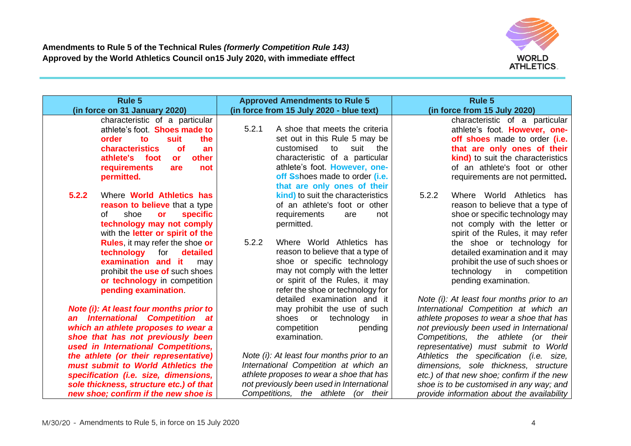

| Rule 5                                                                                                                                                                                                           | <b>Approved Amendments to Rule 5</b>                                                                                                                                                                          | <b>Rule 5</b>                                                                                                                                                                                                |
|------------------------------------------------------------------------------------------------------------------------------------------------------------------------------------------------------------------|---------------------------------------------------------------------------------------------------------------------------------------------------------------------------------------------------------------|--------------------------------------------------------------------------------------------------------------------------------------------------------------------------------------------------------------|
| (in force on 31 January 2020)                                                                                                                                                                                    | (in force from 15 July 2020 - blue text)                                                                                                                                                                      | (in force from 15 July 2020)                                                                                                                                                                                 |
| characteristic of a particular<br>athlete's foot. Shoes made to<br>suit<br>the<br>order<br>to<br><b>characteristics</b><br><b>of</b><br>an<br>athlete's foot<br>other<br><b>or</b><br>requirements<br>not<br>are | 5.2.1<br>A shoe that meets the criteria<br>set out in this Rule 5 may be<br>customised<br>to<br>suit<br>the<br>characteristic of a particular<br>athlete's foot. However, one-                                | characteristic of a particular<br>athlete's foot. However, one-<br>off shoes made to order (i.e.<br>that are only ones of their<br><b>kind)</b> to suit the characteristics<br>of an athlete's foot or other |
| permitted.                                                                                                                                                                                                       | off Sshoes made to order <i>(i.e.</i><br>that are only ones of their                                                                                                                                          | requirements are not permitted.                                                                                                                                                                              |
| 5.2.2<br>Where <b>World Athletics has</b><br>reason to believe that a type<br><b>specific</b><br>shoe<br>of<br><b>or</b><br>technology may not comply<br>with the <b>letter or spirit of the</b>                 | kind) to suit the characteristics<br>of an athlete's foot or other<br>requirements<br>are<br>not<br>permitted.                                                                                                | 5.2.2<br>Where World Athletics has<br>reason to believe that a type of<br>shoe or specific technology may<br>not comply with the letter or<br>spirit of the Rules, it may refer                              |
| <b>Rules, it may refer the shoe or</b><br>technology<br>for<br>detailed<br>examination and it<br>may<br>prohibit the use of such shoes<br>or technology in competition<br>pending examination                    | 5.2.2<br>Where World Athletics has<br>reason to believe that a type of<br>shoe or specific technology<br>may not comply with the letter<br>or spirit of the Rules, it may<br>refer the shoe or technology for | the shoe or technology for<br>detailed examination and it may<br>prohibit the use of such shoes or<br>technology<br>in<br>competition<br>pending examination.                                                |
| Note (i): At least four months prior to                                                                                                                                                                          | detailed examination and it<br>may prohibit the use of such                                                                                                                                                   | Note (i): At least four months prior to an<br>International Competition at which an                                                                                                                          |
| an International Competition at                                                                                                                                                                                  | technology<br>shoes or<br>in.                                                                                                                                                                                 | athlete proposes to wear a shoe that has                                                                                                                                                                     |
| which an athlete proposes to wear a                                                                                                                                                                              | competition<br>pending                                                                                                                                                                                        | not previously been used in International                                                                                                                                                                    |
| shoe that has not previously been<br>used in International Competitions,                                                                                                                                         | examination.                                                                                                                                                                                                  | Competitions, the athlete (or their<br>representative) must submit to World                                                                                                                                  |
| the athlete (or their representative)                                                                                                                                                                            | Note (i): At least four months prior to an                                                                                                                                                                    | Athletics the specification (i.e. size,                                                                                                                                                                      |
| must submit to World Athletics the                                                                                                                                                                               | International Competition at which an                                                                                                                                                                         | dimensions, sole thickness, structure                                                                                                                                                                        |
| specification (i.e. size, dimensions,                                                                                                                                                                            | athlete proposes to wear a shoe that has                                                                                                                                                                      | etc.) of that new shoe; confirm if the new                                                                                                                                                                   |
| sole thickness, structure etc.) of that<br>new shoe; confirm if the new shoe is                                                                                                                                  | not previously been used in International<br>Competitions, the athlete (or their                                                                                                                              | shoe is to be customised in any way; and<br>provide information about the availability                                                                                                                       |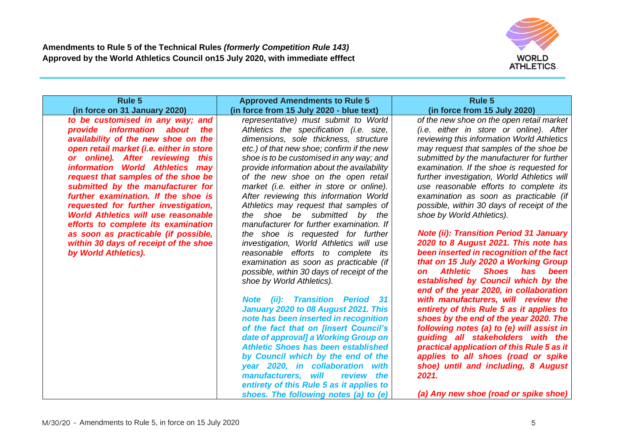

| <b>Rule 5</b>                                                                                                                                                                                                                                                                                                                                                                                                                                                                                                                                                                                                            | <b>Approved Amendments to Rule 5</b>                                                                                                                                                                                                                                                                                                                                                                                                                                                                                                                                                                                                                                                                                                                                                                                                                                                                                                                                                                                                                                                                                                                                                                                             | <b>Rule 5</b>                                                                                                                                                                                                                                                                                                                                                                                                                                                                                                                                                                                                                                                                                                                                                                                                                                                                                                                                                                                                                                                                                                                                                                    |
|--------------------------------------------------------------------------------------------------------------------------------------------------------------------------------------------------------------------------------------------------------------------------------------------------------------------------------------------------------------------------------------------------------------------------------------------------------------------------------------------------------------------------------------------------------------------------------------------------------------------------|----------------------------------------------------------------------------------------------------------------------------------------------------------------------------------------------------------------------------------------------------------------------------------------------------------------------------------------------------------------------------------------------------------------------------------------------------------------------------------------------------------------------------------------------------------------------------------------------------------------------------------------------------------------------------------------------------------------------------------------------------------------------------------------------------------------------------------------------------------------------------------------------------------------------------------------------------------------------------------------------------------------------------------------------------------------------------------------------------------------------------------------------------------------------------------------------------------------------------------|----------------------------------------------------------------------------------------------------------------------------------------------------------------------------------------------------------------------------------------------------------------------------------------------------------------------------------------------------------------------------------------------------------------------------------------------------------------------------------------------------------------------------------------------------------------------------------------------------------------------------------------------------------------------------------------------------------------------------------------------------------------------------------------------------------------------------------------------------------------------------------------------------------------------------------------------------------------------------------------------------------------------------------------------------------------------------------------------------------------------------------------------------------------------------------|
| (in force on 31 January 2020)<br>to be customised in any way; and<br>provide information about<br>the<br>availability of the new shoe on the<br>open retail market (i.e. either in store<br>or online). After reviewing this<br>information World Athletics may<br>request that samples of the shoe be<br>submitted by the manufacturer for<br>further examination. If the shoe is<br>requested for further investigation,<br><b>World Athletics will use reasonable</b><br>efforts to complete its examination<br>as soon as practicable (if possible,<br>within 30 days of receipt of the shoe<br>by World Athletics). | (in force from 15 July 2020 - blue text)<br>representative) must submit to World<br>Athletics the specification (i.e. size,<br>dimensions, sole thickness, structure<br>etc.) of that new shoe; confirm if the new<br>shoe is to be customised in any way; and<br>provide information about the availability<br>of the new shoe on the open retail<br>market (i.e. either in store or online).<br>After reviewing this information World<br>Athletics may request that samples of<br>the shoe be submitted by the<br>manufacturer for further examination. If<br>the shoe is requested for further<br>investigation, World Athletics will use<br>reasonable efforts to complete its<br>examination as soon as practicable (if<br>possible, within 30 days of receipt of the<br>shoe by World Athletics).<br><b>Note (ii): Transition Period</b><br>31<br>January 2020 to 08 August 2021. This<br>note has been inserted in recognition<br>of the fact that on [insert Council's<br>date of approval] a Working Group on<br><b>Athletic Shoes has been established</b><br>by Council which by the end of the<br>year 2020, in collaboration with<br>manufacturers, will<br>review the<br>entirety of this Rule 5 as it applies to | (in force from 15 July 2020)<br>of the new shoe on the open retail market<br>(i.e. either in store or online). After<br>reviewing this information World Athletics<br>may request that samples of the shoe be<br>submitted by the manufacturer for further<br>examination. If the shoe is requested for<br>further investigation, World Athletics will<br>use reasonable efforts to complete its<br>examination as soon as practicable (if<br>possible, within 30 days of receipt of the<br>shoe by World Athletics).<br><b>Note (ii): Transition Period 31 January</b><br>2020 to 8 August 2021. This note has<br>been inserted in recognition of the fact<br>that on 15 July 2020 a Working Group<br>Athletic Shoes has been<br><b>on</b><br>established by Council which by the<br>end of the year 2020, in collaboration<br>with manufacturers, will review the<br>entirety of this Rule 5 as it applies to<br>shoes by the end of the year 2020. The<br>following notes (a) to (e) will assist in<br>guiding all stakeholders with the<br>practical application of this Rule 5 as it<br>applies to all shoes (road or spike<br>shoe) until and including, 8 August<br>2021. |
|                                                                                                                                                                                                                                                                                                                                                                                                                                                                                                                                                                                                                          | shoes. The following notes (a) to (e)                                                                                                                                                                                                                                                                                                                                                                                                                                                                                                                                                                                                                                                                                                                                                                                                                                                                                                                                                                                                                                                                                                                                                                                            | (a) Any new shoe (road or spike shoe)                                                                                                                                                                                                                                                                                                                                                                                                                                                                                                                                                                                                                                                                                                                                                                                                                                                                                                                                                                                                                                                                                                                                            |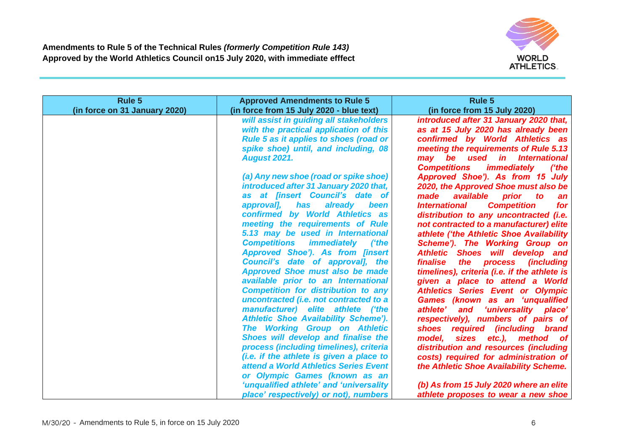

| Rule 5                        | <b>Approved Amendments to Rule 5</b>                                              | <b>Rule 5</b>                                                                 |
|-------------------------------|-----------------------------------------------------------------------------------|-------------------------------------------------------------------------------|
| (in force on 31 January 2020) | (in force from 15 July 2020 - blue text)                                          | (in force from 15 July 2020)                                                  |
|                               | will assist in guiding all stakeholders<br>with the practical application of this | introduced after 31 January 2020 that,<br>as at 15 July 2020 has already been |
|                               | Rule 5 as it applies to shoes (road or                                            | confirmed by World Athletics as                                               |
|                               | spike shoe) until, and including, 08                                              | meeting the requirements of Rule 5.13                                         |
|                               | <b>August 2021.</b>                                                               | may be used in International                                                  |
|                               |                                                                                   | <b>Competitions</b><br><i>immediately</i><br>('the                            |
|                               | (a) Any new shoe (road or spike shoe)                                             | Approved Shoe'). As from 15 July                                              |
|                               | introduced after 31 January 2020 that,                                            | 2020, the Approved Shoe must also be                                          |
|                               | as at [insert Council's date of                                                   | available<br>made<br>prior<br>to<br>an                                        |
|                               | approval], has<br>already<br>been                                                 | <b>Competition</b><br><b>International</b><br>for                             |
|                               | confirmed by World Athletics as                                                   | distribution to any uncontracted (i.e.                                        |
|                               | meeting the requirements of Rule                                                  | not contracted to a manufacturer) elite                                       |
|                               | 5.13 may be used in International                                                 | athlete ('the Athletic Shoe Availability                                      |
|                               | <b>Competitions</b><br><i>immediately</i><br><i>('the</i>                         | Scheme'). The Working Group on                                                |
|                               | Approved Shoe'). As from [insert                                                  | Athletic Shoes will develop and                                               |
|                               | Council's date of approval], the                                                  | <i><b>finalise</b></i><br>the process (including                              |
|                               | <b>Approved Shoe must also be made</b>                                            | timelines), criteria (i.e. if the athlete is                                  |
|                               | available prior to an International<br><b>Competition for distribution to any</b> | given a place to attend a World                                               |
|                               | uncontracted (i.e. not contracted to a                                            | <b>Athletics Series Event or Olympic</b>                                      |
|                               | manufacturer) elite athlete ('the                                                 | Games (known as an 'unqualified<br>athlete'<br>'universality place'<br>and    |
|                               | <b>Athletic Shoe Availability Scheme').</b>                                       | respectively), numbers of pairs of                                            |
|                               | The Working Group on Athletic                                                     | shoes required (including brand                                               |
|                               | Shoes will develop and finalise the                                               | model.<br>sizes etc.), method of                                              |
|                               | process (including timelines), criteria                                           | distribution and resources (including                                         |
|                               | (i.e. if the athlete is given a place to                                          | costs) required for administration of                                         |
|                               | attend a World Athletics Series Event                                             | the Athletic Shoe Availability Scheme.                                        |
|                               | or Olympic Games (known as an                                                     |                                                                               |
|                               | 'unqualified athlete' and 'universality                                           | (b) As from 15 July 2020 where an elite                                       |
|                               | place' respectively) or not), numbers                                             | athlete proposes to wear a new shoe                                           |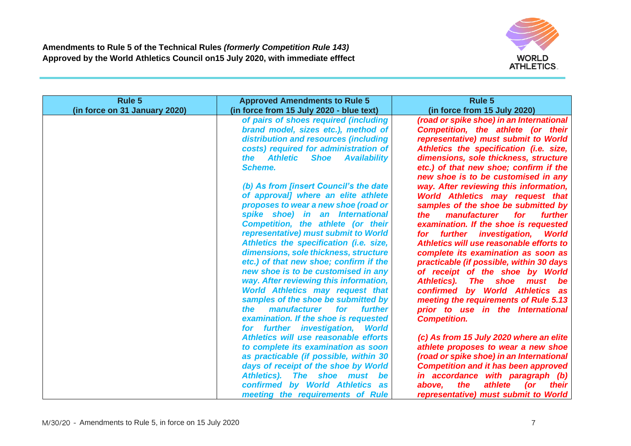

| Rule 5                        | <b>Approved Amendments to Rule 5</b>                                                                                                                                                                                                                                                                                                                                                                                                                                                                                                                                                                                                                                                                                                                                                                                                            | <b>Rule 5</b>                                                                                                                                                                                                                                                                                                                                                                                                                                                                                                                                                                                                                                                                                                                                                                                                                                                                                  |
|-------------------------------|-------------------------------------------------------------------------------------------------------------------------------------------------------------------------------------------------------------------------------------------------------------------------------------------------------------------------------------------------------------------------------------------------------------------------------------------------------------------------------------------------------------------------------------------------------------------------------------------------------------------------------------------------------------------------------------------------------------------------------------------------------------------------------------------------------------------------------------------------|------------------------------------------------------------------------------------------------------------------------------------------------------------------------------------------------------------------------------------------------------------------------------------------------------------------------------------------------------------------------------------------------------------------------------------------------------------------------------------------------------------------------------------------------------------------------------------------------------------------------------------------------------------------------------------------------------------------------------------------------------------------------------------------------------------------------------------------------------------------------------------------------|
| (in force on 31 January 2020) | (in force from 15 July 2020 - blue text)                                                                                                                                                                                                                                                                                                                                                                                                                                                                                                                                                                                                                                                                                                                                                                                                        | (in force from 15 July 2020)                                                                                                                                                                                                                                                                                                                                                                                                                                                                                                                                                                                                                                                                                                                                                                                                                                                                   |
|                               | of pairs of shoes required (including<br>brand model, sizes etc.), method of<br>distribution and resources (including<br>costs) required for administration of<br>the Athletic<br><b>Shoe</b><br><b>Availability</b><br><b>Scheme.</b><br>(b) As from [insert Council's the date<br>of approval] where an elite athlete<br>proposes to wear a new shoe (road or<br>spike shoe) in an International<br><b>Competition, the athlete (or their</b><br>representative) must submit to World<br>Athletics the specification (i.e. size,<br>dimensions, sole thickness, structure<br>etc.) of that new shoe; confirm if the<br>new shoe is to be customised in any<br>way. After reviewing this information,<br><b>World Athletics may request that</b><br>samples of the shoe be submitted by<br><i>manufacturer</i><br>for<br>further<br><i>the</i> | (road or spike shoe) in an International<br>Competition, the athlete (or their<br>representative) must submit to World<br>Athletics the specification (i.e. size,<br>dimensions, sole thickness, structure<br>etc.) of that new shoe; confirm if the<br>new shoe is to be customised in any<br>way. After reviewing this information,<br><b>World Athletics may request that</b><br>samples of the shoe be submitted by<br>manufacturer<br>for<br><i>further</i><br>the<br>examination. If the shoe is requested<br>for further investigation,<br><b>World</b><br>Athletics will use reasonable efforts to<br>complete its examination as soon as<br>practicable (if possible, within 30 days<br>of receipt of the shoe by World<br><b>Athletics).</b><br>The shoe<br>must be<br>confirmed by World Athletics as<br>meeting the requirements of Rule 5.13<br>prior to use in the International |
|                               | examination. If the shoe is requested<br>for further investigation, World<br>Athletics will use reasonable efforts<br>to complete its examination as soon<br>as practicable (if possible, within 30<br>days of receipt of the shoe by World<br>Athletics). The shoe must be<br>confirmed by World Athletics as<br>meeting the requirements of Rule                                                                                                                                                                                                                                                                                                                                                                                                                                                                                              | <b>Competition.</b><br>(c) As from 15 July 2020 where an elite<br>athlete proposes to wear a new shoe<br>(road or spike shoe) in an International<br><b>Competition and it has been approved</b><br>in accordance with paragraph (b)<br>athlete<br>the<br>above.<br>$($ or<br>their<br>representative) must submit to World                                                                                                                                                                                                                                                                                                                                                                                                                                                                                                                                                                    |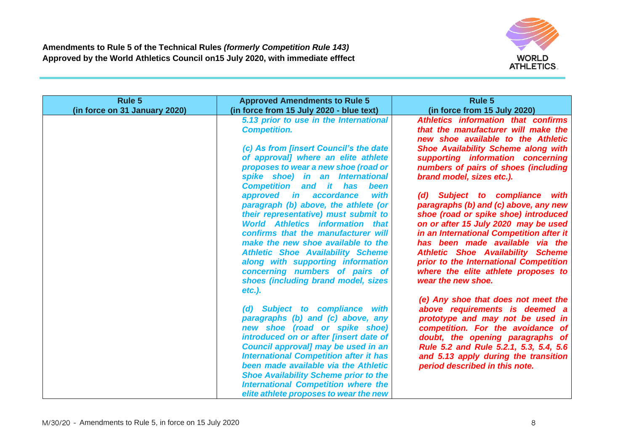

| Rule 5                        | <b>Approved Amendments to Rule 5</b>                                                                                                                                                                                                                                                                                                                                                                                   | Rule 5                                                                                                                                                                                                                                                                                                                                                                                    |
|-------------------------------|------------------------------------------------------------------------------------------------------------------------------------------------------------------------------------------------------------------------------------------------------------------------------------------------------------------------------------------------------------------------------------------------------------------------|-------------------------------------------------------------------------------------------------------------------------------------------------------------------------------------------------------------------------------------------------------------------------------------------------------------------------------------------------------------------------------------------|
| (in force on 31 January 2020) | (in force from 15 July 2020 - blue text)<br>5.13 prior to use in the International<br><b>Competition.</b>                                                                                                                                                                                                                                                                                                              | (in force from 15 July 2020)<br>Athletics information that confirms<br>that the manufacturer will make the<br>new shoe available to the Athletic                                                                                                                                                                                                                                          |
|                               | (c) As from [insert Council's the date<br>of approval] where an elite athlete<br>proposes to wear a new shoe (road or<br>spike shoe) in an International<br><b>Competition and it</b><br>has<br>been                                                                                                                                                                                                                   | <b>Shoe Availability Scheme along with</b><br>supporting information concerning<br>numbers of pairs of shoes (including<br>brand model, sizes etc.).                                                                                                                                                                                                                                      |
|                               | with<br>approved in accordance<br>paragraph (b) above, the athlete (or<br>their representative) must submit to<br><b>World Athletics information that</b><br>confirms that the manufacturer will<br>make the new shoe available to the<br><b>Athletic Shoe Availability Scheme</b><br>along with supporting information<br>concerning numbers of pairs of<br>shoes (including brand model, sizes<br>$etc.$ ).          | (d) Subject to compliance with<br>paragraphs (b) and (c) above, any new<br>shoe (road or spike shoe) introduced<br>on or after 15 July 2020 may be used<br>in an International Competition after it<br>has been made available via the<br><b>Athletic Shoe Availability Scheme</b><br>prior to the International Competition<br>where the elite athlete proposes to<br>wear the new shoe. |
|                               | (d) Subject to compliance with<br>paragraphs (b) and (c) above, any<br>new shoe (road or spike shoe)<br>introduced on or after [insert date of<br>Council approval] may be used in an<br><b>International Competition after it has</b><br>been made available via the Athletic<br><b>Shoe Availability Scheme prior to the</b><br><b>International Competition where the</b><br>elite athlete proposes to wear the new | (e) Any shoe that does not meet the<br>above requirements is deemed a<br>prototype and may not be used in<br>competition. For the avoidance of<br>doubt, the opening paragraphs of<br>Rule 5.2 and Rule 5.2.1, 5.3, 5.4, 5.6<br>and 5.13 apply during the transition<br>period described in this note.                                                                                    |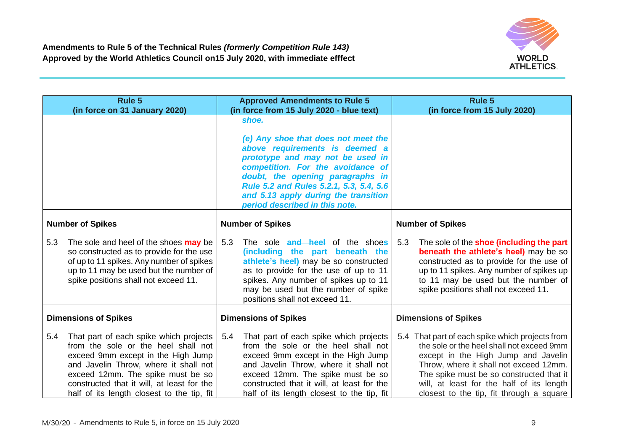

|     | <b>Rule 5</b><br>(in force on 31 January 2020)                                                                                                                                                                                                                                                |     | <b>Approved Amendments to Rule 5</b><br>(in force from 15 July 2020 - blue text)                                                                                                                                                                                                                                 |     | <b>Rule 5</b><br>(in force from 15 July 2020)                                                                                                                                                                                                                                                                      |
|-----|-----------------------------------------------------------------------------------------------------------------------------------------------------------------------------------------------------------------------------------------------------------------------------------------------|-----|------------------------------------------------------------------------------------------------------------------------------------------------------------------------------------------------------------------------------------------------------------------------------------------------------------------|-----|--------------------------------------------------------------------------------------------------------------------------------------------------------------------------------------------------------------------------------------------------------------------------------------------------------------------|
|     |                                                                                                                                                                                                                                                                                               |     | shoe.<br>(e) Any shoe that does not meet the<br>above requirements is deemed a<br>prototype and may not be used in<br>competition. For the avoidance of<br>doubt, the opening paragraphs in<br>Rule 5.2 and Rules 5.2.1, 5.3, 5.4, 5.6<br>and 5.13 apply during the transition<br>period described in this note. |     |                                                                                                                                                                                                                                                                                                                    |
|     | <b>Number of Spikes</b>                                                                                                                                                                                                                                                                       |     | <b>Number of Spikes</b>                                                                                                                                                                                                                                                                                          |     | <b>Number of Spikes</b>                                                                                                                                                                                                                                                                                            |
| 5.3 | The sole and heel of the shoes <b>may</b> be<br>so constructed as to provide for the use<br>of up to 11 spikes. Any number of spikes<br>up to 11 may be used but the number of<br>spike positions shall not exceed 11.                                                                        | 5.3 | The sole and heel of the shoes<br>(including the part beneath the<br>athlete's heel) may be so constructed<br>as to provide for the use of up to 11<br>spikes. Any number of spikes up to 11<br>may be used but the number of spike<br>positions shall not exceed 11.                                            | 5.3 | The sole of the <b>shoe (including the part</b><br>beneath the athlete's heel) may be so<br>constructed as to provide for the use of<br>up to 11 spikes. Any number of spikes up<br>to 11 may be used but the number of<br>spike positions shall not exceed 11.                                                    |
|     | <b>Dimensions of Spikes</b>                                                                                                                                                                                                                                                                   |     | <b>Dimensions of Spikes</b>                                                                                                                                                                                                                                                                                      |     | <b>Dimensions of Spikes</b>                                                                                                                                                                                                                                                                                        |
| 5.4 | That part of each spike which projects<br>from the sole or the heel shall not<br>exceed 9mm except in the High Jump<br>and Javelin Throw, where it shall not<br>exceed 12mm. The spike must be so<br>constructed that it will, at least for the<br>half of its length closest to the tip, fit | 5.4 | That part of each spike which projects<br>from the sole or the heel shall not<br>exceed 9mm except in the High Jump<br>and Javelin Throw, where it shall not<br>exceed 12mm. The spike must be so<br>constructed that it will, at least for the<br>half of its length closest to the tip, fit                    |     | 5.4 That part of each spike which projects from<br>the sole or the heel shall not exceed 9mm<br>except in the High Jump and Javelin<br>Throw, where it shall not exceed 12mm.<br>The spike must be so constructed that it<br>will, at least for the half of its length<br>closest to the tip, fit through a square |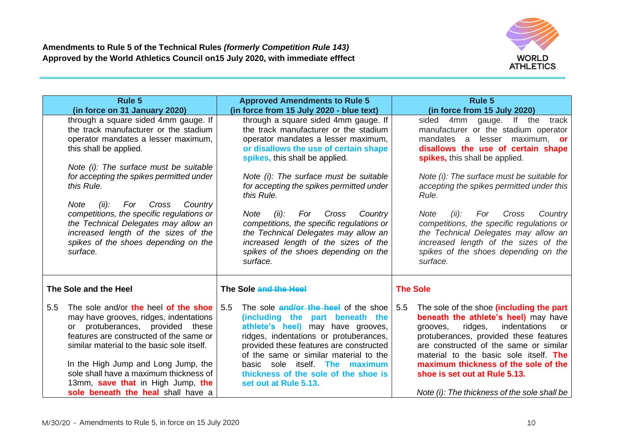

|     | <b>Rule 5</b>                                                                                                                                                                                                                                                                                                                                                              | <b>Approved Amendments to Rule 5</b>                                                                                                                                                                                                                                                                                                                         | <b>Rule 5</b>                                                                                                                                                                                                                                                                                                                                                                                      |
|-----|----------------------------------------------------------------------------------------------------------------------------------------------------------------------------------------------------------------------------------------------------------------------------------------------------------------------------------------------------------------------------|--------------------------------------------------------------------------------------------------------------------------------------------------------------------------------------------------------------------------------------------------------------------------------------------------------------------------------------------------------------|----------------------------------------------------------------------------------------------------------------------------------------------------------------------------------------------------------------------------------------------------------------------------------------------------------------------------------------------------------------------------------------------------|
|     | (in force on 31 January 2020)                                                                                                                                                                                                                                                                                                                                              | (in force from 15 July 2020 - blue text)                                                                                                                                                                                                                                                                                                                     | (in force from 15 July 2020)                                                                                                                                                                                                                                                                                                                                                                       |
|     | through a square sided 4mm gauge. If<br>the track manufacturer or the stadium<br>operator mandates a lesser maximum,<br>this shall be applied.                                                                                                                                                                                                                             | through a square sided 4mm gauge. If<br>the track manufacturer or the stadium<br>operator mandates a lesser maximum,<br>or disallows the use of certain shape<br>spikes, this shall be applied.                                                                                                                                                              | sided 4mm gauge. If the<br>track<br>manufacturer or the stadium operator<br>mandates a lesser maximum, or<br>disallows the use of certain shape<br>spikes, this shall be applied.                                                                                                                                                                                                                  |
|     | Note (i): The surface must be suitable<br>for accepting the spikes permitted under<br>this Rule.<br>Note<br>(ii):<br>For<br>Cross<br>Country                                                                                                                                                                                                                               | Note (i): The surface must be suitable<br>for accepting the spikes permitted under<br>this Rule.                                                                                                                                                                                                                                                             | Note (i): The surface must be suitable for<br>accepting the spikes permitted under this<br>Rule.                                                                                                                                                                                                                                                                                                   |
|     | competitions, the specific regulations or<br>the Technical Delegates may allow an<br>increased length of the sizes of the<br>spikes of the shoes depending on the<br>surface.                                                                                                                                                                                              | Cross<br><b>Note</b><br>(ii):<br>For<br>Country<br>competitions, the specific regulations or<br>the Technical Delegates may allow an<br>increased length of the sizes of the<br>spikes of the shoes depending on the<br>surface.                                                                                                                             | <b>Note</b><br>(ii):<br>For<br>Cross<br>Country<br>competitions, the specific regulations or<br>the Technical Delegates may allow an<br>increased length of the sizes of the<br>spikes of the shoes depending on the<br>surface.                                                                                                                                                                   |
|     | The Sole and the Heel                                                                                                                                                                                                                                                                                                                                                      | The Sole and the Heel                                                                                                                                                                                                                                                                                                                                        | <b>The Sole</b>                                                                                                                                                                                                                                                                                                                                                                                    |
| 5.5 | The sole and/or the heel of the shoe<br>may have grooves, ridges, indentations<br>protuberances, provided these<br>or<br>features are constructed of the same or<br>similar material to the basic sole itself.<br>In the High Jump and Long Jump, the<br>sole shall have a maximum thickness of<br>13mm, save that in High Jump, the<br>sole beneath the heal shall have a | 5.5<br>The sole <b>and/or the heel</b> of the shoe<br>(including the part beneath the<br>athlete's heel) may have grooves,<br>ridges, indentations or protuberances,<br>provided these features are constructed<br>of the same or similar material to the<br>basic sole itself. The maximum<br>thickness of the sole of the shoe is<br>set out at Rule 5.13. | The sole of the shoe (including the part<br>5.5<br>beneath the athlete's heel) may have<br>indentations<br>ridges,<br>grooves,<br><b>or</b><br>protuberances, provided these features<br>are constructed of the same or similar<br>material to the basic sole itself. The<br>maximum thickness of the sole of the<br>shoe is set out at Rule 5.13.<br>Note (i): The thickness of the sole shall be |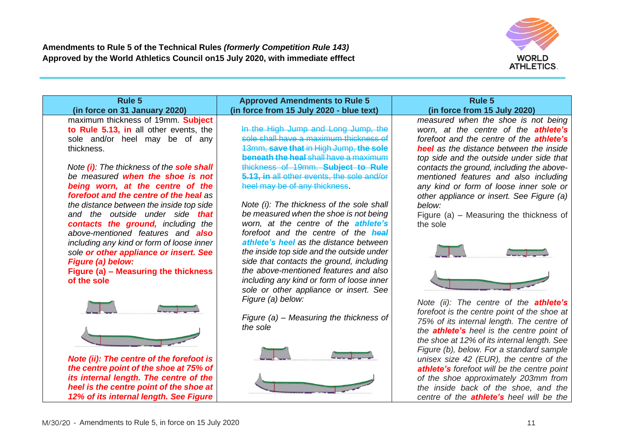

| Rule 5                                                                             | <b>Approved Amendments to Rule 5</b>                  | Rule 5                                                                              |
|------------------------------------------------------------------------------------|-------------------------------------------------------|-------------------------------------------------------------------------------------|
| (in force on 31 January 2020)                                                      | (in force from 15 July 2020 - blue text)              | (in force from 15 July 2020)                                                        |
| maximum thickness of 19mm. Subject                                                 |                                                       | measured when the shoe is not being                                                 |
| to Rule 5.13, in all other events, the                                             | In the High Jump and Long Jump, the                   | worn, at the centre of the <b>athlete's</b>                                         |
| sole and/or heel may be of any                                                     | sole shall have a maximum thickness of                | forefoot and the centre of the <b>athlete's</b>                                     |
| thickness.                                                                         | 13mm, save that in High Jump, the sole                | <b>heel</b> as the distance between the inside                                      |
|                                                                                    | beneath the heal shall have a maximum                 | top side and the outside under side that                                            |
| Note (i): The thickness of the sole shall                                          | thickness of 19mm. Subject to                         | contacts the ground, including the above-                                           |
| be measured when the shoe is not                                                   | 5.13, in all other events, the sole and/or            | mentioned features and also including                                               |
| being worn, at the centre of the<br>forefoot and the centre of the heal as         | heel may be of any thickness.                         | any kind or form of loose inner sole or                                             |
| the distance between the inside top side                                           | Note (i): The thickness of the sole shall             | other appliance or insert. See Figure (a)<br>below:                                 |
| and the outside under side that                                                    | be measured when the shoe is not being                | Figure (a) $-$ Measuring the thickness of                                           |
| contacts the ground, including the                                                 | worn, at the centre of the athlete's                  | the sole                                                                            |
| above-mentioned features and <b>also</b>                                           | forefoot and the centre of the heal                   |                                                                                     |
| including any kind or form of loose inner                                          | athlete's heel as the distance between                |                                                                                     |
| sole or other appliance or insert. See                                             | the inside top side and the outside under             |                                                                                     |
| Figure (a) below:                                                                  | side that contacts the ground, including              |                                                                                     |
| Figure (a) - Measuring the thickness                                               | the above-mentioned features and also                 |                                                                                     |
| of the sole                                                                        | including any kind or form of loose inner             |                                                                                     |
|                                                                                    | sole or other appliance or insert. See                |                                                                                     |
|                                                                                    | Figure (a) below:                                     | Note (ii): The centre of the <b>athlete's</b>                                       |
|                                                                                    |                                                       | forefoot is the centre point of the shoe at                                         |
|                                                                                    | Figure $(a)$ – Measuring the thickness of<br>the sole | 75% of its internal length. The centre of                                           |
|                                                                                    |                                                       | the <b>athlete's</b> heel is the centre point of                                    |
|                                                                                    |                                                       | the shoe at 12% of its internal length. See                                         |
|                                                                                    |                                                       | Figure (b), below. For a standard sample                                            |
| Note (ii): The centre of the forefoot is<br>the centre point of the shoe at 75% of |                                                       | unisex size 42 (EUR), the centre of the                                             |
| its internal length. The centre of the                                             |                                                       | athlete's forefoot will be the centre point<br>of the shoe approximately 203mm from |
| heel is the centre point of the shoe at                                            |                                                       | the inside back of the shoe, and the                                                |
| 12% of its internal length. See Figure                                             |                                                       | centre of the <b>athlete's</b> heel will be the                                     |
|                                                                                    |                                                       |                                                                                     |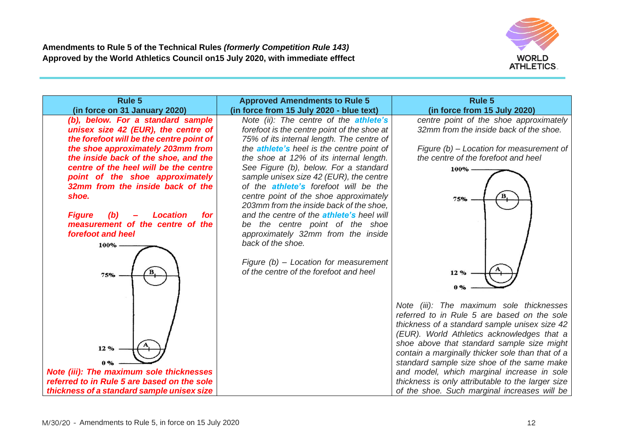

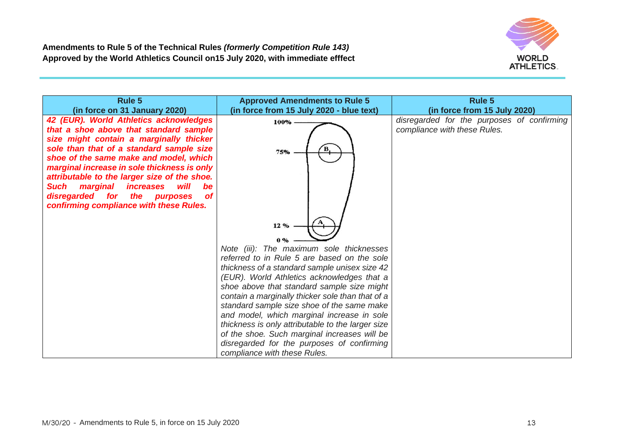

| Rule 5<br>(in force on 31 January 2020)                                                                                                                                           | <b>Approved Amendments to Rule 5</b><br>(in force from 15 July 2020 - blue text)               | <b>Rule 5</b><br>(in force from 15 July 2020)                              |
|-----------------------------------------------------------------------------------------------------------------------------------------------------------------------------------|------------------------------------------------------------------------------------------------|----------------------------------------------------------------------------|
| 42 (EUR). World Athletics acknowledges<br>that a shoe above that standard sample<br>size might contain a marginally thicker                                                       | 100%                                                                                           | disregarded for the purposes of confirming<br>compliance with these Rules. |
| sole than that of a standard sample size<br>shoe of the same make and model, which<br>marginal increase in sole thickness is only<br>attributable to the larger size of the shoe. | 75%                                                                                            |                                                                            |
| marginal<br><i>increases</i><br>will<br><b>Such</b><br>be<br>disregarded for the purposes<br>of<br>confirming compliance with these Rules.                                        |                                                                                                |                                                                            |
|                                                                                                                                                                                   | 12%<br>0%                                                                                      |                                                                            |
|                                                                                                                                                                                   | Note (iii): The maximum sole thicknesses<br>referred to in Rule 5 are based on the sole        |                                                                            |
|                                                                                                                                                                                   | thickness of a standard sample unisex size 42                                                  |                                                                            |
|                                                                                                                                                                                   | (EUR). World Athletics acknowledges that a                                                     |                                                                            |
|                                                                                                                                                                                   | shoe above that standard sample size might                                                     |                                                                            |
|                                                                                                                                                                                   | contain a marginally thicker sole than that of a<br>standard sample size shoe of the same make |                                                                            |
|                                                                                                                                                                                   | and model, which marginal increase in sole                                                     |                                                                            |
|                                                                                                                                                                                   | thickness is only attributable to the larger size                                              |                                                                            |
|                                                                                                                                                                                   | of the shoe. Such marginal increases will be                                                   |                                                                            |
|                                                                                                                                                                                   | disregarded for the purposes of confirming<br>compliance with these Rules.                     |                                                                            |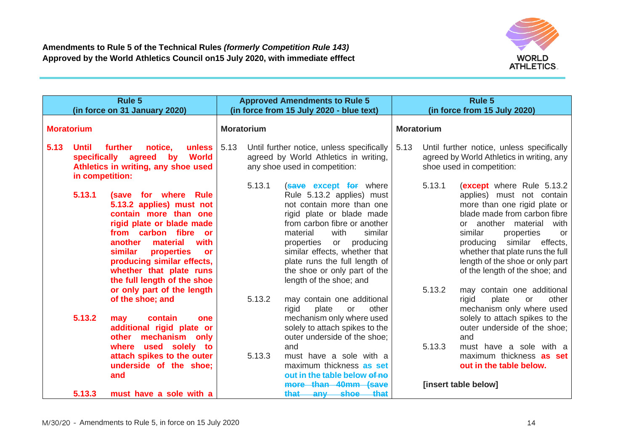

| Rule 5<br>(in force on 31 January 2020)                                                                                                                                                                                                                                                                         | <b>Approved Amendments to Rule 5</b><br>(in force from 15 July 2020 - blue text)                                                                                                                                                                                                                                                                            | Rule 5<br>(in force from 15 July 2020)                                                                                                                                                                                                                                                                                                       |  |
|-----------------------------------------------------------------------------------------------------------------------------------------------------------------------------------------------------------------------------------------------------------------------------------------------------------------|-------------------------------------------------------------------------------------------------------------------------------------------------------------------------------------------------------------------------------------------------------------------------------------------------------------------------------------------------------------|----------------------------------------------------------------------------------------------------------------------------------------------------------------------------------------------------------------------------------------------------------------------------------------------------------------------------------------------|--|
| <b>Moratorium</b>                                                                                                                                                                                                                                                                                               | <b>Moratorium</b>                                                                                                                                                                                                                                                                                                                                           | <b>Moratorium</b>                                                                                                                                                                                                                                                                                                                            |  |
| 5.13<br>further<br><b>Until</b><br>notice.<br>unless<br>specifically<br>agreed<br><b>World</b><br>by<br>Athletics in writing, any shoe used<br>in competition:                                                                                                                                                  | 5.13<br>Until further notice, unless specifically<br>agreed by World Athletics in writing,<br>any shoe used in competition:                                                                                                                                                                                                                                 | 5.13<br>Until further notice, unless specifically<br>agreed by World Athletics in writing, any<br>shoe used in competition:                                                                                                                                                                                                                  |  |
| 5.13.1<br>(save for where Rule<br>5.13.2 applies) must not<br>contain more than one<br>rigid plate or blade made<br>from carbon fibre<br>or<br>with<br>another<br>material<br><b>similar</b><br>properties<br><b>or</b><br>producing similar effects,<br>whether that plate runs<br>the full length of the shoe | 5.13.1<br><b>(save except for where</b><br>Rule 5.13.2 applies) must<br>not contain more than one<br>rigid plate or blade made<br>from carbon fibre or another<br>with<br>similar<br>material<br>producing<br>properties<br>or<br>similar effects, whether that<br>plate runs the full length of<br>the shoe or only part of the<br>length of the shoe; and | 5.13.1<br>(except where Rule 5.13.2)<br>applies) must not contain<br>more than one rigid plate or<br>blade made from carbon fibre<br>or another material<br>with<br>similar<br>properties<br>or<br>similar<br>effects,<br>producing<br>whether that plate runs the full<br>length of the shoe or only part<br>of the length of the shoe; and |  |
| or only part of the length<br>of the shoe; and<br>5.13.2<br>contain<br>may<br>one<br>additional rigid plate or<br>mechanism only<br>other<br>where used solely to                                                                                                                                               | 5.13.2<br>may contain one additional<br>rigid<br>plate<br>other<br><b>or</b><br>mechanism only where used<br>solely to attach spikes to the<br>outer underside of the shoe:<br>and                                                                                                                                                                          | 5.13.2<br>may contain one additional<br>rigid<br>plate<br>other<br>or<br>mechanism only where used<br>solely to attach spikes to the<br>outer underside of the shoe;<br>and<br>5.13.3<br>must have a sole with a                                                                                                                             |  |
| attach spikes to the outer<br>underside of the shoe;<br>and<br>5.13.3<br>must have a sole with a                                                                                                                                                                                                                | 5.13.3<br>must have a sole with a<br>maximum thickness as set<br>out in the table below of no<br>more than 40mm (save<br>that<br>that-<br><del>shoe</del><br>any                                                                                                                                                                                            | maximum thickness as set<br>out in the table below.<br>[insert table below]                                                                                                                                                                                                                                                                  |  |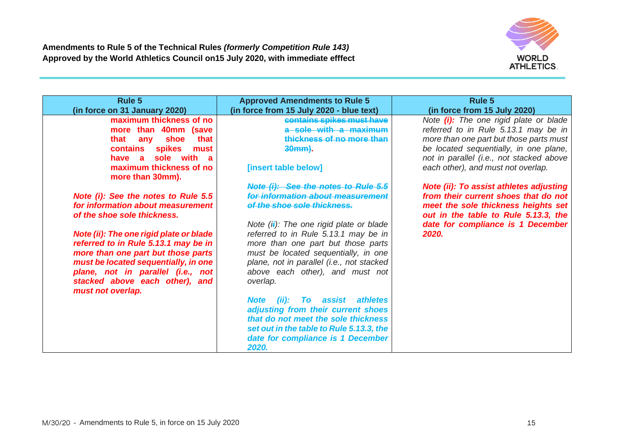

| Rule 5                                   | <b>Approved Amendments to Rule 5</b>           | <b>Rule 5</b>                                  |
|------------------------------------------|------------------------------------------------|------------------------------------------------|
| (in force on 31 January 2020)            | (in force from 15 July 2020 - blue text)       | (in force from 15 July 2020)                   |
| maximum thickness of no                  | contains spikes must have                      | Note <i>(i)</i> : The one rigid plate or blade |
| more than 40mm (save                     | a sole with a maximum                          | referred to in Rule 5.13.1 may be in           |
| that<br>shoe<br>that<br>any              | thickness of no more than                      | more than one part but those parts must        |
| <b>spikes</b><br>contains<br>must        | 30mm).                                         | be located sequentially, in one plane,         |
| sole<br>with a<br>have<br>$\overline{a}$ |                                                | not in parallel (i.e., not stacked above       |
| maximum thickness of no                  | [insert table below]                           | each other), and must not overlap.             |
| more than 30mm).                         |                                                |                                                |
|                                          | Note (i): See the notes to Rule 5.5            | <b>Note (ii): To assist athletes adjusting</b> |
| Note (i): See the notes to Rule 5.5      | for information about measuremen               | from their current shoes that do not           |
| for information about measurement        | of the shoe sole thickness.                    | meet the sole thickness heights set            |
| of the shoe sole thickness.              |                                                | out in the table to Rule 5.13.3, the           |
|                                          | Note $(i)$ : The one rigid plate or blade      | date for compliance is 1 December              |
| Note (ii): The one rigid plate or blade  | referred to in Rule 5.13.1 may be in           | 2020.                                          |
| referred to in Rule 5.13.1 may be in     | more than one part but those parts             |                                                |
| more than one part but those parts       | must be located sequentially, in one           |                                                |
| must be located sequentially, in one     | plane, not in parallel (i.e., not stacked      |                                                |
| plane, not in parallel (i.e., not        | above each other), and must not                |                                                |
| stacked above each other), and           | overlap.                                       |                                                |
| must not overlap.                        |                                                |                                                |
|                                          | assist athletes<br><b>Note</b><br>(ii):<br>To: |                                                |
|                                          | adjusting from their current shoes             |                                                |
|                                          | that do not meet the sole thickness            |                                                |
|                                          | set out in the table to Rule 5.13.3, the       |                                                |
|                                          | date for compliance is 1 December              |                                                |
|                                          | 2020.                                          |                                                |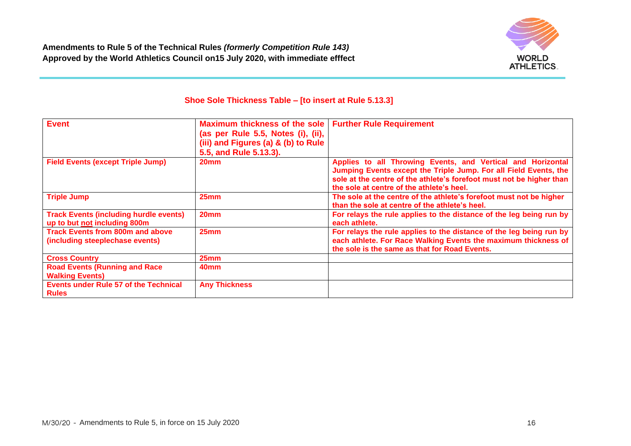

# **Shoe Sole Thickness Table – [to insert at Rule 5.13.3]**

| <b>Event</b>                                                                  | <b>Maximum thickness of the sole</b><br>(as per Rule 5.5, Notes (i), (ii),<br>(iii) and Figures (a) & (b) to Rule<br>5.5, and Rule 5.13.3). | <b>Further Rule Requirement</b>                                                                                                                                                                                                                      |
|-------------------------------------------------------------------------------|---------------------------------------------------------------------------------------------------------------------------------------------|------------------------------------------------------------------------------------------------------------------------------------------------------------------------------------------------------------------------------------------------------|
| <b>Field Events (except Triple Jump)</b>                                      | 20 <sub>mm</sub>                                                                                                                            | Applies to all Throwing Events, and Vertical and Horizontal<br>Jumping Events except the Triple Jump. For all Field Events, the<br>sole at the centre of the athlete's forefoot must not be higher than<br>the sole at centre of the athlete's heel. |
| <b>Triple Jump</b>                                                            | 25 <sub>mm</sub>                                                                                                                            | The sole at the centre of the athlete's forefoot must not be higher<br>than the sole at centre of the athlete's heel.                                                                                                                                |
| <b>Track Events (including hurdle events)</b><br>up to but not including 800m | 20 <sub>mm</sub>                                                                                                                            | For relays the rule applies to the distance of the leg being run by<br>each athlete.                                                                                                                                                                 |
| <b>Track Events from 800m and above</b><br>(including steeplechase events)    | 25 <sub>mm</sub>                                                                                                                            | For relays the rule applies to the distance of the leg being run by<br>each athlete. For Race Walking Events the maximum thickness of<br>the sole is the same as that for Road Events.                                                               |
| <b>Cross Country</b>                                                          | 25 <sub>mm</sub>                                                                                                                            |                                                                                                                                                                                                                                                      |
| <b>Road Events (Running and Race</b><br><b>Walking Events)</b>                | 40 <sub>mm</sub>                                                                                                                            |                                                                                                                                                                                                                                                      |
| <b>Events under Rule 57 of the Technical</b><br><b>Rules</b>                  | <b>Any Thickness</b>                                                                                                                        |                                                                                                                                                                                                                                                      |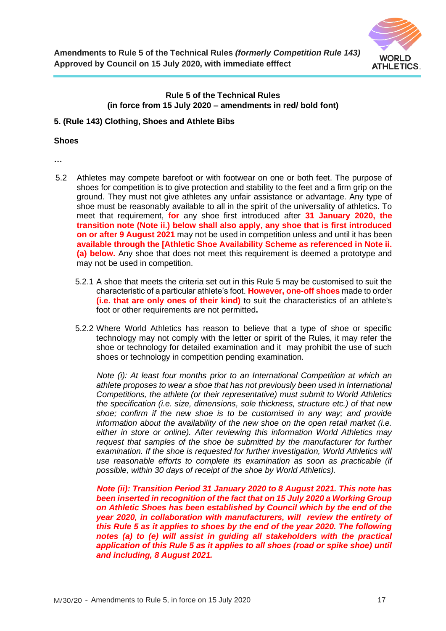

# **Rule 5 of the Technical Rules (in force from 15 July 2020 – amendments in red/ bold font)**

#### **5. (Rule 143) Clothing, Shoes and Athlete Bibs**

#### **Shoes**

**…**

- 5.2 Athletes may compete barefoot or with footwear on one or both feet. The purpose of shoes for competition is to give protection and stability to the feet and a firm grip on the ground. They must not give athletes any unfair assistance or advantage. Any type of shoe must be reasonably available to all in the spirit of the universality of athletics. To meet that requirement, **for** any shoe first introduced after **31 January 2020, the transition note (Note ii.) below shall also apply, any shoe that is first introduced on or after 9 August 2021** may not be used in competition unless and until it has been **available through the [Athletic Shoe Availability Scheme as referenced in Note ii. (a) below.** Any shoe that does not meet this requirement is deemed a prototype and may not be used in competition.
	- 5.2.1 A shoe that meets the criteria set out in this Rule 5 may be customised to suit the characteristic of a particular athlete's foot. **However, one-off shoes** made to order **(i.e. that are only ones of their kind)** to suit the characteristics of an athlete's foot or other requirements are not permitted**.**
	- 5.2.2 Where World Athletics has reason to believe that a type of shoe or specific technology may not comply with the letter or spirit of the Rules, it may refer the shoe or technology for detailed examination and it may prohibit the use of such shoes or technology in competition pending examination.

*Note (i): At least four months prior to an International Competition at which an athlete proposes to wear a shoe that has not previously been used in International Competitions, the athlete (or their representative) must submit to World Athletics the specification (i.e. size, dimensions, sole thickness, structure etc.) of that new shoe; confirm if the new shoe is to be customised in any way; and provide information about the availability of the new shoe on the open retail market (i.e. either in store or online). After reviewing this information World Athletics may request that samples of the shoe be submitted by the manufacturer for further examination. If the shoe is requested for further investigation, World Athletics will use reasonable efforts to complete its examination as soon as practicable (if possible, within 30 days of receipt of the shoe by World Athletics).*

*Note (ii): Transition Period 31 January 2020 to 8 August 2021. This note has been inserted in recognition of the fact that on 15 July 2020 a Working Group on Athletic Shoes has been established by Council which by the end of the year 2020, in collaboration with manufacturers, will review the entirety of this Rule 5 as it applies to shoes by the end of the year 2020. The following*  notes (a) to (e) will assist in quiding all stakeholders with the practical *application of this Rule 5 as it applies to all shoes (road or spike shoe) until and including, 8 August 2021.*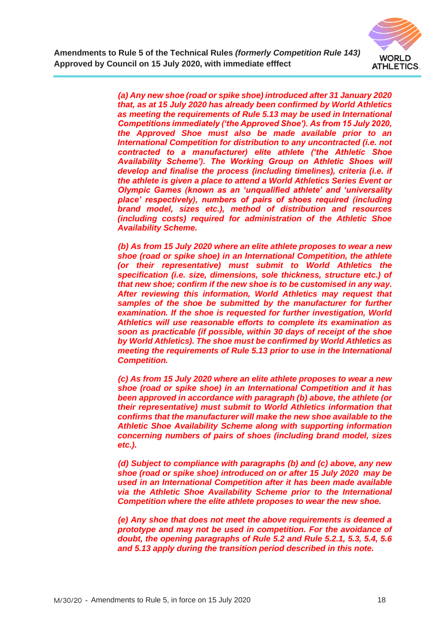

*(a) Any new shoe (road or spike shoe) introduced after 31 January 2020 that, as at 15 July 2020 has already been confirmed by World Athletics as meeting the requirements of Rule 5.13 may be used in International Competitions immediately ('the Approved Shoe'). As from 15 July 2020, the Approved Shoe must also be made available prior to an International Competition for distribution to any uncontracted (i.e. not contracted to a manufacturer) elite athlete ('the Athletic Shoe Availability Scheme'). The Working Group on Athletic Shoes will develop and finalise the process (including timelines), criteria (i.e. if the athlete is given a place to attend a World Athletics Series Event or Olympic Games (known as an 'unqualified athlete' and 'universality place' respectively), numbers of pairs of shoes required (including brand model, sizes etc.), method of distribution and resources (including costs) required for administration of the Athletic Shoe Availability Scheme.*

*(b) As from 15 July 2020 where an elite athlete proposes to wear a new shoe (road or spike shoe) in an International Competition, the athlete (or their representative) must submit to World Athletics the specification (i.e. size, dimensions, sole thickness, structure etc.) of that new shoe; confirm if the new shoe is to be customised in any way. After reviewing this information, World Athletics may request that*  samples of the shoe be submitted by the manufacturer for further *examination. If the shoe is requested for further investigation, World Athletics will use reasonable efforts to complete its examination as soon as practicable (if possible, within 30 days of receipt of the shoe by World Athletics). The shoe must be confirmed by World Athletics as meeting the requirements of Rule 5.13 prior to use in the International Competition.* 

*(c) As from 15 July 2020 where an elite athlete proposes to wear a new shoe (road or spike shoe) in an International Competition and it has been approved in accordance with paragraph (b) above, the athlete (or their representative) must submit to World Athletics information that confirms that the manufacturer will make the new shoe available to the Athletic Shoe Availability Scheme along with supporting information concerning numbers of pairs of shoes (including brand model, sizes etc.).* 

*(d) Subject to compliance with paragraphs (b) and (c) above, any new shoe (road or spike shoe) introduced on or after 15 July 2020 may be used in an International Competition after it has been made available via the Athletic Shoe Availability Scheme prior to the International Competition where the elite athlete proposes to wear the new shoe.* 

*(e) Any shoe that does not meet the above requirements is deemed a prototype and may not be used in competition. For the avoidance of doubt, the opening paragraphs of Rule 5.2 and Rule 5.2.1, 5.3, 5.4, 5.6 and 5.13 apply during the transition period described in this note.*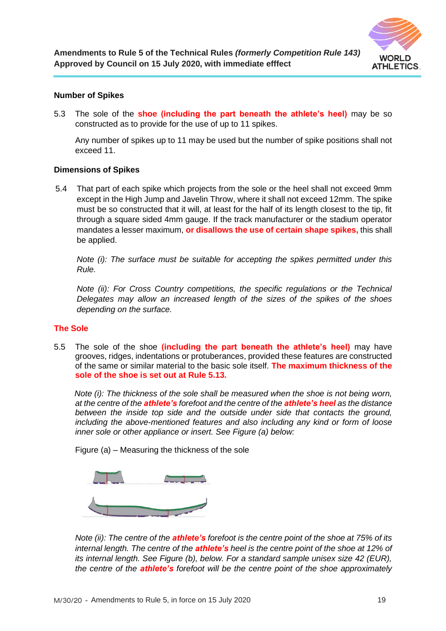

## **Number of Spikes**

5.3 The sole of the **shoe (including the part beneath the athlete's heel)** may be so constructed as to provide for the use of up to 11 spikes.

Any number of spikes up to 11 may be used but the number of spike positions shall not exceed 11.

## **Dimensions of Spikes**

5.4 That part of each spike which projects from the sole or the heel shall not exceed 9mm except in the High Jump and Javelin Throw, where it shall not exceed 12mm. The spike must be so constructed that it will, at least for the half of its length closest to the tip, fit through a square sided 4mm gauge. If the track manufacturer or the stadium operator mandates a lesser maximum, **or disallows the use of certain shape spikes,** this shall be applied.

*Note (i): The surface must be suitable for accepting the spikes permitted under this Rule.*

*Note (ii): For Cross Country competitions, the specific regulations or the Technical Delegates may allow an increased length of the sizes of the spikes of the shoes depending on the surface.*

#### **The Sole**

5.5 The sole of the shoe **(including the part beneath the athlete's heel)** may have grooves, ridges, indentations or protuberances, provided these features are constructed of the same or similar material to the basic sole itself. **The maximum thickness of the sole of the shoe is set out at Rule 5.13.**

 *Note (i): The thickness of the sole shall be measured when the shoe is not being worn, at the centre of the athlete's forefoot and the centre of the athlete's heel as the distance between the inside top side and the outside under side that contacts the ground, including the above-mentioned features and also including any kind or form of loose inner sole or other appliance or insert. See Figure (a) below:*

Figure (a) – Measuring the thickness of the sole



*Note (ii): The centre of the athlete's forefoot is the centre point of the shoe at 75% of its internal length. The centre of the athlete's heel is the centre point of the shoe at 12% of its internal length. See Figure (b), below. For a standard sample unisex size 42 (EUR), the centre of the athlete's forefoot will be the centre point of the shoe approximately*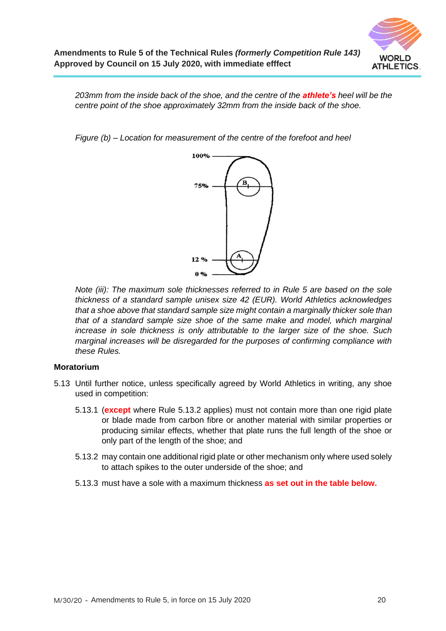

*203mm from the inside back of the shoe, and the centre of the athlete's heel will be the centre point of the shoe approximately 32mm from the inside back of the shoe.*

*Figure (b) – Location for measurement of the centre of the forefoot and heel* 



*Note (iii): The maximum sole thicknesses referred to in Rule 5 are based on the sole thickness of a standard sample unisex size 42 (EUR). World Athletics acknowledges that a shoe above that standard sample size might contain a marginally thicker sole than that of a standard sample size shoe of the same make and model, which marginal increase in sole thickness is only attributable to the larger size of the shoe. Such marginal increases will be disregarded for the purposes of confirming compliance with these Rules.*

#### **Moratorium**

- 5.13 Until further notice, unless specifically agreed by World Athletics in writing, any shoe used in competition:
	- 5.13.1 (**except** where Rule 5.13.2 applies) must not contain more than one rigid plate or blade made from carbon fibre or another material with similar properties or producing similar effects, whether that plate runs the full length of the shoe or only part of the length of the shoe; and
	- 5.13.2 may contain one additional rigid plate or other mechanism only where used solely to attach spikes to the outer underside of the shoe; and
	- 5.13.3 must have a sole with a maximum thickness **as set out in the table below.**